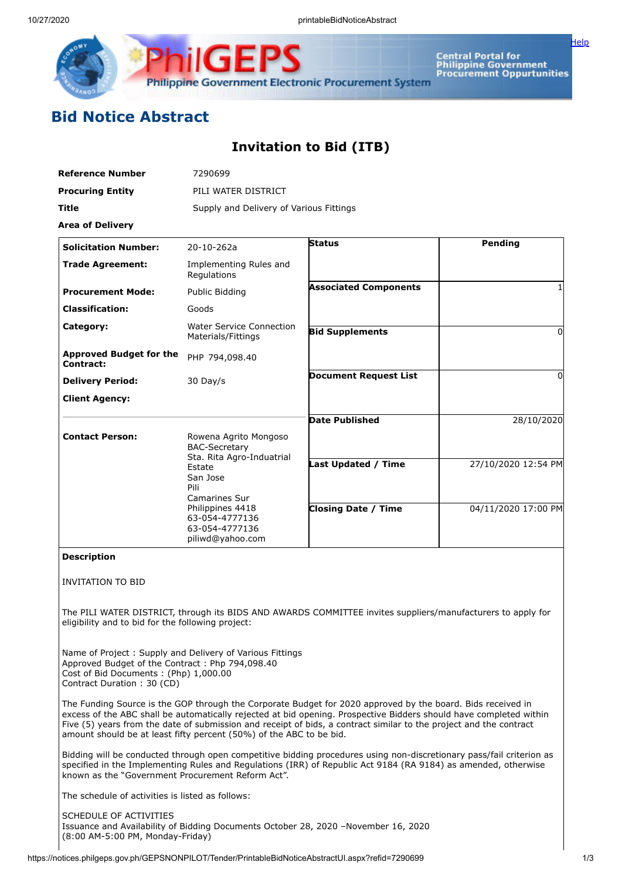

Central Portal for<br>Philippine Government<br>Procurement Oppurtunities

[Help](javascript:void(window.open()

## **Bid Notice Abstract**

## **Invitation to Bid (ITB)**

| <b>Reference Number</b>                                                                                                | 7290699                                                                                                                                                     |                                                                                                             |                     |
|------------------------------------------------------------------------------------------------------------------------|-------------------------------------------------------------------------------------------------------------------------------------------------------------|-------------------------------------------------------------------------------------------------------------|---------------------|
| <b>Procuring Entity</b>                                                                                                | PILI WATER DISTRICT                                                                                                                                         |                                                                                                             |                     |
| Title                                                                                                                  | Supply and Delivery of Various Fittings                                                                                                                     |                                                                                                             |                     |
| <b>Area of Delivery</b>                                                                                                |                                                                                                                                                             |                                                                                                             |                     |
| <b>Solicitation Number:</b>                                                                                            | 20-10-262a                                                                                                                                                  | <b>Status</b>                                                                                               | <b>Pending</b>      |
| <b>Trade Agreement:</b>                                                                                                | Implementing Rules and<br>Regulations                                                                                                                       |                                                                                                             |                     |
| <b>Procurement Mode:</b>                                                                                               | Public Bidding                                                                                                                                              | <b>Associated Components</b>                                                                                | 1                   |
| <b>Classification:</b>                                                                                                 | Goods                                                                                                                                                       |                                                                                                             |                     |
| Category:                                                                                                              | <b>Water Service Connection</b><br>Materials/Fittings                                                                                                       | <b>Bid Supplements</b>                                                                                      | $\Omega$            |
| <b>Approved Budget for the</b><br>Contract:                                                                            | PHP 794,098.40                                                                                                                                              |                                                                                                             |                     |
| <b>Delivery Period:</b>                                                                                                | 30 Day/s                                                                                                                                                    | <b>Document Request List</b>                                                                                | $\Omega$            |
| <b>Client Agency:</b>                                                                                                  |                                                                                                                                                             |                                                                                                             |                     |
|                                                                                                                        |                                                                                                                                                             | <b>Date Published</b>                                                                                       | 28/10/2020          |
| <b>Contact Person:</b>                                                                                                 | Rowena Agrito Mongoso<br><b>BAC-Secretary</b>                                                                                                               |                                                                                                             |                     |
|                                                                                                                        | Sta. Rita Agro-Induatrial<br>Estate<br>San Jose<br>Pili<br><b>Camarines Sur</b><br>Philippines 4418<br>63-054-4777136<br>63-054-4777136<br>piliwd@yahoo.com | <b>Last Updated / Time</b>                                                                                  | 27/10/2020 12:54 PM |
|                                                                                                                        |                                                                                                                                                             | <b>Closing Date / Time</b>                                                                                  | 04/11/2020 17:00 PM |
| <b>Description</b>                                                                                                     |                                                                                                                                                             |                                                                                                             |                     |
| <b>INVITATION TO BID</b>                                                                                               |                                                                                                                                                             |                                                                                                             |                     |
| eligibility and to bid for the following project:                                                                      |                                                                                                                                                             | The PILI WATER DISTRICT, through its BIDS AND AWARDS COMMITTEE invites suppliers/manufacturers to apply for |                     |
| Approved Budget of the Contract: Php 794,098.40<br>Cost of Bid Documents: (Php) 1,000.00<br>Contract Duration: 30 (CD) | Name of Project: Supply and Delivery of Various Fittings                                                                                                    |                                                                                                             |                     |
|                                                                                                                        |                                                                                                                                                             | The Funding Source is the GOP through the Corporate Budget for 2020 approved by the board. Bids received in |                     |

The Funding Source is the GOP through the Corporate Budget for 2020 approved by the board. Bids received in excess of the ABC shall be automatically rejected at bid opening. Prospective Bidders should have completed within Five (5) years from the date of submission and receipt of bids, a contract similar to the project and the contract amount should be at least fifty percent (50%) of the ABC to be bid.

Bidding will be conducted through open competitive bidding procedures using non-discretionary pass/fail criterion as specified in the Implementing Rules and Regulations (IRR) of Republic Act 9184 (RA 9184) as amended, otherwise known as the "Government Procurement Reform Act".

The schedule of activities is listed as follows:

SCHEDULE OF ACTIVITIES Issuance and Availability of Bidding Documents October 28, 2020 –November 16, 2020 (8:00 AM-5:00 PM, Monday-Friday)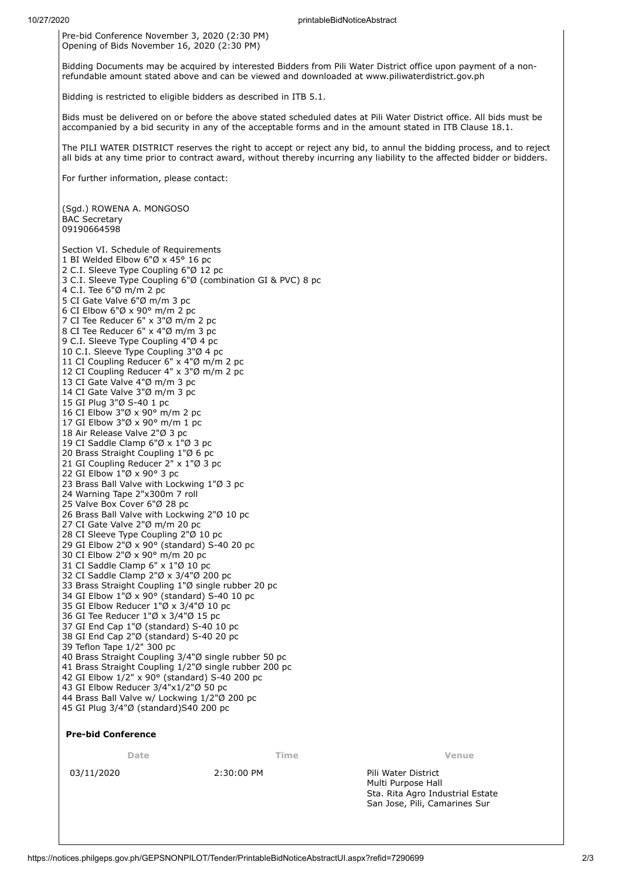Pre-bid Conference November 3, 2020 (2:30 PM) Opening of Bids November 16, 2020 (2:30 PM)

Bidding Documents may be acquired by interested Bidders from Pili Water District office upon payment of a nonrefundable amount stated above and can be viewed and downloaded at www.piliwaterdistrict.gov.ph

Bidding is restricted to eligible bidders as described in ITB 5.1.

Bids must be delivered on or before the above stated scheduled dates at Pili Water District office. All bids must be accompanied by a bid security in any of the acceptable forms and in the amount stated in ITB Clause 18.1.

The PILI WATER DISTRICT reserves the right to accept or reject any bid, to annul the bidding process, and to reject all bids at any time prior to contract award, without thereby incurring any liability to the affected bidder or bidders.

For further information, please contact:

(Sgd.) ROWENA A. MONGOSO BAC Secretary 

Section VI. Schedule of Requirements BI Welded Elbow 6"Ø x 45° 16 pc C.I. Sleeve Type Coupling 6"Ø 12 pc C.I. Sleeve Type Coupling 6"Ø (combination GI & PVC) 8 pc C.I. Tee 6"Ø m/m 2 pc CI Gate Valve 6"Ø m/m 3 pc CI Elbow 6"Ø x 90° m/m 2 pc CI Tee Reducer 6" x 3"Ø m/m 2 pc CI Tee Reducer 6" x 4"Ø m/m 3 pc C.I. Sleeve Type Coupling 4"Ø 4 pc C.I. Sleeve Type Coupling 3"Ø 4 pc CI Coupling Reducer 6" x 4"Ø m/m 2 pc CI Coupling Reducer 4" x 3"Ø m/m 2 pc CI Gate Valve 4"Ø m/m 3 pc CI Gate Valve 3"Ø m/m 3 pc GI Plug 3"Ø S-40 1 pc CI Elbow 3"Ø x 90° m/m 2 pc GI Elbow 3"Ø x 90° m/m 1 pc Air Release Valve 2"Ø 3 pc CI Saddle Clamp 6"Ø x 1"Ø 3 pc Brass Straight Coupling 1"Ø 6 pc GI Coupling Reducer 2" x 1"Ø 3 pc 22 GI Elbow 1"Ø x 90° 3 pc Brass Ball Valve with Lockwing 1"Ø 3 pc Warning Tape 2"x300m 7 roll Valve Box Cover 6"Ø 28 pc Brass Ball Valve with Lockwing 2"Ø 10 pc CI Gate Valve 2"Ø m/m 20 pc CI Sleeve Type Coupling 2"Ø 10 pc GI Elbow 2"Ø x 90° (standard) S-40 20 pc CI Elbow 2"Ø x 90° m/m 20 pc CI Saddle Clamp 6" x 1"Ø 10 pc CI Saddle Clamp 2"Ø x 3/4"Ø 200 pc Brass Straight Coupling 1"Ø single rubber 20 pc 34 GI Elbow  $1\overline{9} \times 90\overline{9}$  (standard) S-40 10 pc GI Elbow Reducer 1"Ø x 3/4"Ø 10 pc GI Tee Reducer 1"Ø x 3/4"Ø 15 pc GI End Cap 1"Ø (standard) S-40 10 pc 38 GI End Cap 2"Ø (standard) S-40 20 pc Teflon Tape 1/2" 300 pc Brass Straight Coupling 3/4"Ø single rubber 50 pc Brass Straight Coupling 1/2"Ø single rubber 200 pc GI Elbow 1/2" x 90° (standard) S-40 200 pc GI Elbow Reducer 3/4"x1/2"Ø 50 pc Brass Ball Valve w/ Lockwing 1/2"Ø 200 pc GI Plug 3/4"Ø (standard)S40 200 pc

## **Pre-bid Conference**

**Date Time Venue**

03/11/2020 2:30:00 PM Pili Water District

Multi Purpose Hall Sta. Rita Agro Industrial Estate San Jose, Pili, Camarines Sur